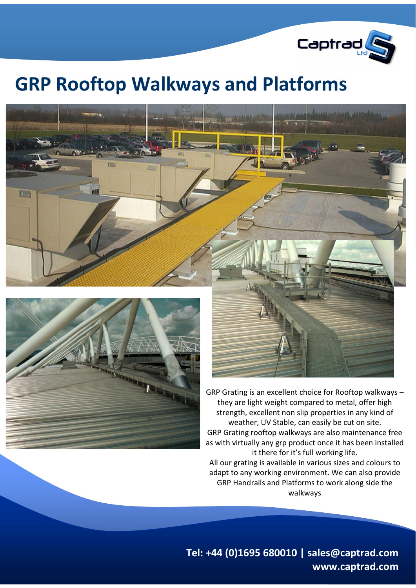

## **GRP Rooftop Walkways and Platforms**





GRP Grating is an excellent choice for Rooftop walkways – they are light weight compared to metal, offer high strength, excellent non slip properties in any kind of weather, UV Stable, can easily be cut on site. GRP Grating rooftop walkways are also maintenance free as with virtually any grp product once it has been installed it there for it's full working life. All our grating is available in various sizes and colours to adapt to any working environment. We can also provide GRP Handrails and Platforms to work along side the

walkways

**Tel: +44 (0)1695 680010 | sales@captrad.com www.captrad.com**